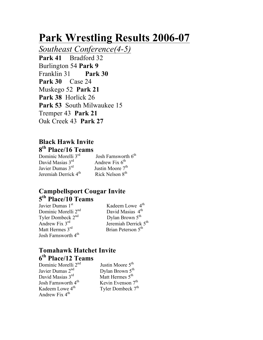# **Park Wrestling Results 2006-07**

*Southeast Conference(4-5)* **Park 41** Bradford 32 Burlington 54 **Park 9** Franklin 31 **Park 30 Park 30** Case 24 Muskego 52 **Park 21 Park 38** Horlick 26 **Park 53** South Milwaukee 15 Tremper 43 **Park 21** Oak Creek 43 **Park 27**

# **Black Hawk Invite 8th Place/16 Teams**

David Masias  $3<sup>rd</sup>$ Javier Dumas  $3^{\text{rd}}$  Justin Moore  $7^{\text{th}}$ <br>Jeremiah Derrick  $4^{\text{th}}$  Rick Nelson  $8^{\text{th}}$ Jeremiah Derrick 4<sup>th</sup>

Josh Farnsworth  $6^{th}$ <br>Andrew Fix  $6^{th}$ 

# **Campbellsport Cougar Invite 5th Place/10 Teams**

Javier Dumas 1st Dominic Morelli 2<sup>nd</sup> David Masias  $4^{\text{th}}$ <br>
Tyler Dombeck 2<sup>nd</sup> Dylan Brown 5<sup>th</sup> Tyler Dombeck 2<sup>nd</sup> Josh Farnsworth 4<sup>th</sup>

Kadeem Lowe 4<sup>th</sup> Andrew Fix  $3^{\text{rd}}$ <br>
Matt Hermes  $3^{\text{rd}}$ <br>
Jeremiah Derrick  $5^{\text{th}}$ <br>
Brian Peterson  $5^{\text{th}}$ Brian Peterson 5<sup>th</sup>

# **Tomahawk Hatchet Invite 6th Place/12 Teams**

Dominic Morelli 2<sup>nd</sup> Justin Moore 5<sup>th</sup> Javier Dumas  $2^{nd}$  Dylan Brown  $5^{th}$ <br>David Masias  $3^{rd}$  Matt Hermes  $5^{th}$ David Masias  $3<sup>rd</sup>$ Josh Farnsworth  $4^{th}$ <br>Kevin Evenson  $7^{th}$ <br>Kadeem Lowe  $4^{th}$ <br>Tyler Dombeck  $7^{th}$ Andrew Fix  $4<sup>th</sup>$ 

Tyler Dombeck 7<sup>th</sup>